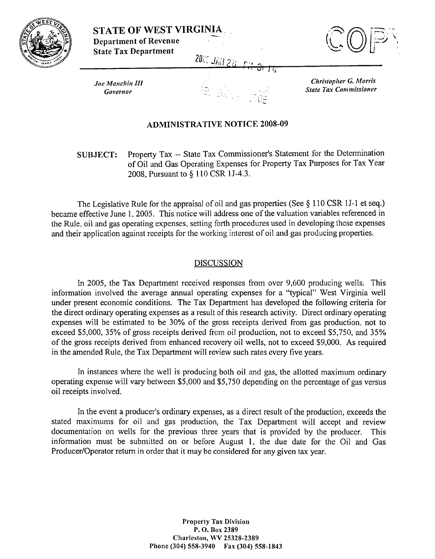

**STATE OF WEST VIRGINIA Department of Revenue State Tax Department 2000 JAN 28** 



**Joe Manchin III** Governor

**Christopher G. Morris State Tax Commissioner** 

## **ADMINISTRATIVE NOTICE 2008-09**

## Property Tax -- State Tax Commissioner's Statement for the Determination **SUBJECT:** of Oil and Gas Operating Expenses for Property Tax Purposes for Tax Year 2008, Pursuant to § 110 CSR 1J-4.3.

The Legislative Rule for the appraisal of oil and gas properties (See  $\S$  110 CSR 1J-1 et seq.) became effective June 1, 2005. This notice will address one of the valuation variables referenced in the Rule, oil and gas operating expenses, setting forth procedures used in developing these expenses and their application against receipts for the working interest of oil and gas producing properties.

## **DISCUSSION**

In 2005, the Tax Department received responses from over 9,600 producing wells. This information involved the average annual operating expenses for a "typical" West Virginia well under present economic conditions. The Tax Department has developed the following criteria for the direct ordinary operating expenses as a result of this research activity. Direct ordinary operating expenses will be estimated to be 30% of the gross receipts derived from gas production, not to exceed \$5,000, 35% of gross receipts derived from oil production, not to exceed \$5,750, and 35% of the gross receipts derived from enhanced recovery oil wells, not to exceed \$9,000. As required in the amended Rule, the Tax Department will review such rates every five years.

In instances where the well is producing both oil and gas, the allotted maximum ordinary operating expense will vary between \$5,000 and \$5,750 depending on the percentage of gas versus oil receipts involved.

In the event a producer's ordinary expenses, as a direct result of the production, exceeds the stated maximums for oil and gas production, the Tax Department will accept and review documentation on wells for the previous three years that is provided by the producer. This information must be submitted on or before August 1, the due date for the Oil and Gas Producer/Operator return in order that it may be considered for any given tax year.

> **Property Tax Division** P.O. Box 2389 Charleston, WV 25328-2389 Phone (304) 558-3940 Fax (304) 558-1843